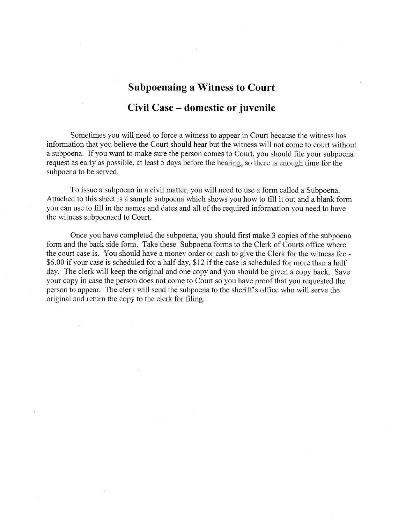# **Subpoenaing a Witness to Court** Civil Case – domestic or juvenile

Sometimes you will need to force a witness to appear in Court because the witness has information that you believe the Court should hear but the witness will not come to court without a subpoena. If you want to make sure the person comes to Court, you should file your subpoena. request as early as possible, at least 5 days before the hearing, so there is enough time for the subpoena to be served.

To issue a subpoena in a civil matter, you will need to use a form called a Subpoena. Attached to this sheet is a sample subpoena which shows you how to fill it out and a blank form you can use to fill in the names and dates and all of the required information you need to have the witness subpoenaed to Court.

Once you have completed the subpoena, you should first make 3 copies of the subpoena form and the back side form. Take these Subpoena forms to the Clerk of Courts office where the court case is. You should have a money order or cash to give the Clerk for the witness fee -\$6.00 if your case is scheduled for a half day, \$12 if the case is scheduled for more than a half day. The clerk will keep the original and one copy and you should be given a copy back. Save your copy in case the person does not come to Court so you have proof that you requested the person to appear. The clerk will send the subpoena to the sheriff's office who will serve the original and return the copy to the clerk for filing.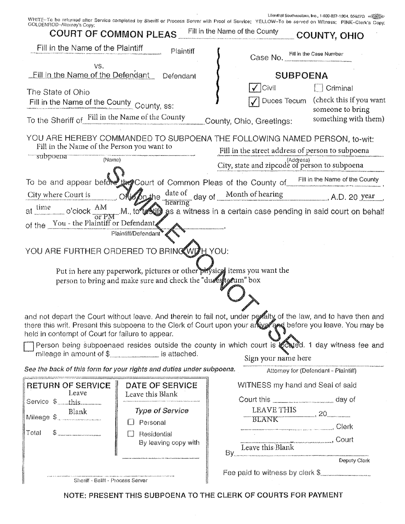Ullenthal Southeastern, Inc., 1-800-837-1904, 65627G <機能計

| GOLDENHOD-Allomoy's Copy:                                                                                                                                                   | <b>COURT OF COMMON PLEAS</b> Fill in the Name of the County                                                                                                                    | WHITE-To be returned after Service completed by Sheriff or Process Server with Proof of Service; YELLOW-To be served on Witness; PINK-Clerk's Copy;                                                                                                                                                                                                                                                                                                                          | COUNTY, OHIO                                           |
|-----------------------------------------------------------------------------------------------------------------------------------------------------------------------------|--------------------------------------------------------------------------------------------------------------------------------------------------------------------------------|------------------------------------------------------------------------------------------------------------------------------------------------------------------------------------------------------------------------------------------------------------------------------------------------------------------------------------------------------------------------------------------------------------------------------------------------------------------------------|--------------------------------------------------------|
| Fill in the Name of the Plaintiff                                                                                                                                           | Plaintiff                                                                                                                                                                      | Case No. Fill in the Case Number                                                                                                                                                                                                                                                                                                                                                                                                                                             |                                                        |
| VS.<br><b>Eill in the Name of the Defendant</b><br>The State of Ohio<br>Fill in the Name of the County County, ss:                                                          | Defendant                                                                                                                                                                      | <b>SUBPOENA</b><br>$\sqrt{ C }$                                                                                                                                                                                                                                                                                                                                                                                                                                              | $\Box$ Criminal<br>Duces Tecum (check this if you want |
| To the Sheriff of Fill in the Name of the County County, Ohio, Greetings:                                                                                                   |                                                                                                                                                                                |                                                                                                                                                                                                                                                                                                                                                                                                                                                                              | someone to bring<br>something with them)               |
| Fill in the Name of the Person you want to<br>- subpoena<br>(Name)<br>of the You - the Plaintiff or Defendant<br>YOU ARE FURTHER ORDERED TO BRING WILLYOU:                  | Plaintiff/Defendant <sup>®</sup><br>Put in here any paperwork, pictures or other priysics items you want the<br>person to bring and make sure and check the "due syte eum" box | YOU ARE HEREBY COMMANDED TO SUBPOENA THE FOLLOWING NAMED PERSON, to-wit:<br>Fill in the street address of person to subpoena<br>(Address)<br>City, state and zipcode of person to subpoena<br>To be and appear before use Court of Common Pleas of the County of Fill in the Name of the County<br>City where Court is Olighing date of day of Month of hearing A.D. 20 year<br>at time o'clock AM M. to Mill as a witness in a certain case pending in said court on behalf |                                                        |
| held in contempt of Court for failure to appear.<br>mileage in amount of $\frac{1}{2}$ is attached.<br>See the back of this form for your rights and duties under subpoena. |                                                                                                                                                                                | and not depart the Court without leave, And therein to fail not, under peraity of the law, and to have then and<br>there this writ. Present this subpoena to the Clerk of Court upon your anxy and before you leave. You may be<br>Person being subpoenaed resides outside the county in which court is oday of the witness fee and<br>Sign your name here                                                                                                                   | Attorney for (Defendant - Plaintiff)                   |
| <b>RETURN OF SERVICE</b><br>Leave<br>Service \$__this<br>Blank                                                                                                              | <b>DATE OF SERVICE</b><br>Leave this Blank<br><b>Type of Service</b>                                                                                                           | WITNESS my hand and Seal of said<br>Court this ___________________ day of<br>LEAVE THIS                                                                                                                                                                                                                                                                                                                                                                                      | 20                                                     |
| Blank<br>Mileage \$<br>$$\,$ $$\,$<br>Total                                                                                                                                 | $\Box$ Personal<br>Residential<br>$\Box$<br>By leaving copy with                                                                                                               | <b>BLANK</b><br>Leave this Blank Court                                                                                                                                                                                                                                                                                                                                                                                                                                       |                                                        |
| Sheriff - Ballff - Process Server                                                                                                                                           |                                                                                                                                                                                | Fee paid to witness by clerk \$                                                                                                                                                                                                                                                                                                                                                                                                                                              | Deputy Clerk                                           |

NOTE: PRESENT THIS SUBPOENA TO THE CLERK OF COURTS FOR PAYMENT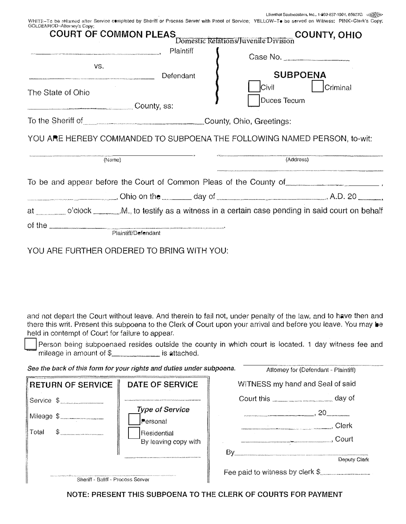Lilionthat Southeastern, Inc., 1-200-837-1904, 65627G @@@@@ w:

| $A \cap H \cap H$ $A \cap H$                                                                                                                     | $\mathcal{L}$ $\mathcal{L}$ $\mathcal{L}$ $\mathcal{L}$ $\mathcal{L}$ $\mathcal{L}$ $\mathcal{L}$ $\mathcal{L}$ $\mathcal{L}$ $\mathcal{L}$ $\mathcal{L}$ $\mathcal{L}$ $\mathcal{L}$ $\mathcal{L}$ $\mathcal{L}$ $\mathcal{L}$ $\mathcal{L}$ $\mathcal{L}$ $\mathcal{L}$ $\mathcal{L}$ $\mathcal{L}$ $\mathcal{L}$ $\mathcal{L}$ $\mathcal{L}$ $\mathcal{$ |  |
|--------------------------------------------------------------------------------------------------------------------------------------------------|-------------------------------------------------------------------------------------------------------------------------------------------------------------------------------------------------------------------------------------------------------------------------------------------------------------------------------------------------------------|--|
| GOLDENROD-Attorney's Copy;                                                                                                                       |                                                                                                                                                                                                                                                                                                                                                             |  |
| WHITE–To be returned after Service c∎mpleted by Shentf or Process Server with Proof of Service: YELLOW–T⊕ be served on Witness; PINK–Clerk's Cop |                                                                                                                                                                                                                                                                                                                                                             |  |

| <b>COURT OF COMMON PLEAS</b>                                                                          |                                                                                                                                |                                            | COUNTY, OHIO<br>)<br>Domestic Relations/Juvenile Division                                                                                                                                                                      |  |
|-------------------------------------------------------------------------------------------------------|--------------------------------------------------------------------------------------------------------------------------------|--------------------------------------------|--------------------------------------------------------------------------------------------------------------------------------------------------------------------------------------------------------------------------------|--|
|                                                                                                       | .<br>В континенти или чем исторической используется и просто состоят состояние по может просто не не от может постояние<br>VS. | Plaintiff<br>Defendant                     | Case No.<br><b>SUBPOENA</b><br><b>Civil Civil</b><br><i>Criminal</i>                                                                                                                                                           |  |
| The State of Ohio<br>$\overline{\phantom{iiiiiiiiiiiiiiiiiiiiiiiiiiiiiiiiiiiiiiiiiiiii}}$ County, ss: |                                                                                                                                |                                            | Duces Tecum                                                                                                                                                                                                                    |  |
|                                                                                                       |                                                                                                                                | To the Sheriff of County, Ohio, Greetings: |                                                                                                                                                                                                                                |  |
|                                                                                                       |                                                                                                                                |                                            | YOU ARE HEREBY COMMANDED TO SUBPOENA THE FOLLOWING NAMED PERSON, to-wit:                                                                                                                                                       |  |
| (Name)                                                                                                |                                                                                                                                | (Address)                                  |                                                                                                                                                                                                                                |  |
|                                                                                                       |                                                                                                                                |                                            | To be and appear before the Court of Common Pleas of the County of the County of the state of the state of the County of the and appear of the County of the and appear of the County of the analysis of the analysis of the a |  |
|                                                                                                       |                                                                                                                                |                                            | $\sim$ Ohio on the $\sim$ day of $\sim$ 1.0. 20 $\sim$                                                                                                                                                                         |  |
|                                                                                                       |                                                                                                                                |                                            | at ______ o'clock ________.M., to testify as a witness in a certain case pending in said court on behalf                                                                                                                       |  |
|                                                                                                       |                                                                                                                                | Plaintiff/Defendant                        |                                                                                                                                                                                                                                |  |

YOU ARE FURTHER ORDERED TO BRING WITH YOU:

and not depart the Court without leave. And therein to fail not, under penalty of the law, and to have then and there this writ. Present this subpoena to the Clerk of Court upon your arrival and before you leave. You may be held in contempt of Court for failure to appear.

Person being subpoenaed resides outside the county in which court is located. 1 day witness fee and mileage in amount of \$\_\_\_\_\_\_\_\_\_\_\_\_\_\_\_\_ is attached.

|                                   | See the back of this form for your rights and duties under subpoena. | Attorney for (Defendant - Plaintiff) |
|-----------------------------------|----------------------------------------------------------------------|--------------------------------------|
| RETURN OF SERVICE                 | DATE OF SERVICE                                                      | WITNESS my hand and Seal of said     |
| Service \$                        |                                                                      | day of<br>Court this                 |
| Mileage \$                        | <b>Type of Service</b>                                               | 20                                   |
|                                   | l™ersonal                                                            | Clerk                                |
| S<br>Total                        | Residential<br>By leaving copy with                                  | Court                                |
|                                   | By                                                                   |                                      |
|                                   |                                                                      | Deputy Clerk                         |
|                                   |                                                                      | Fee paid to witness by clerk \$      |
| Sheriff - Baliff - Process Server |                                                                      |                                      |

NOTE: PRESENT THIS SUBPOENA TO THE CLERK OF COURTS FOR PAYMENT